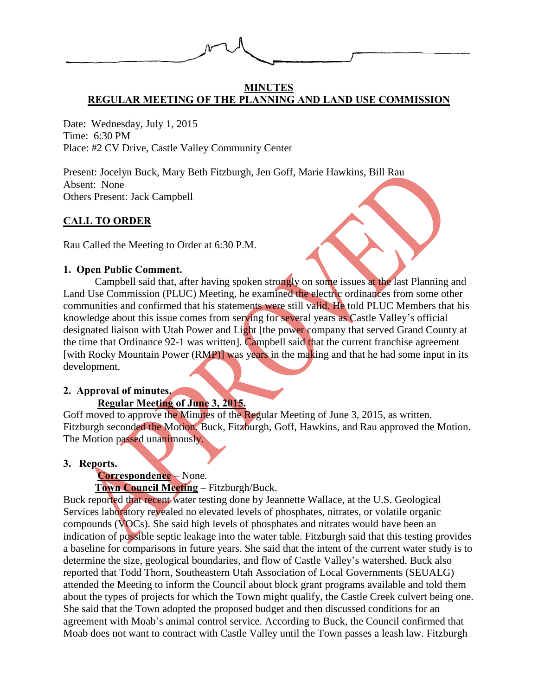

#### **MINUTES REGULAR MEETING OF THE PLANNING AND LAND USE COMMISSION**

Date: Wednesday, July 1, 2015 Time: 6:30 PM Place: #2 CV Drive, Castle Valley Community Center

Present: Jocelyn Buck, Mary Beth Fitzburgh, Jen Goff, Marie Hawkins, Bill Rau Absent: None Others Present: Jack Campbell

# **CALL TO ORDER**

Rau Called the Meeting to Order at 6:30 P.M.

# **1. Open Public Comment.**

Campbell said that, after having spoken strongly on some issues at the last Planning and Land Use Commission (PLUC) Meeting, he examined the electric ordinances from some other communities and confirmed that his statements were still valid. He told PLUC Members that his knowledge about this issue comes from serving for several years as Castle Valley's official designated liaison with Utah Power and Light [the power company that served Grand County at the time that Ordinance 92-1 was written]. Campbell said that the current franchise agreement [with Rocky Mountain Power (RMP)] was years in the making and that he had some input in its development.

# **2. Approval of minutes.**

# **Regular Meeting of June 3, 2015.**

Goff moved to approve the Minutes of the Regular Meeting of June 3, 2015, as written. Fitzburgh seconded the Motion. Buck, Fitzburgh, Goff, Hawkins, and Rau approved the Motion. The Motion passed unanimously.

# **3. Reports.**

# **Correspondence** – None.

# **Town Council Meeting** – Fitzburgh/Buck.

Buck reported that recent water testing done by Jeannette Wallace, at the U.S. Geological Services laboratory revealed no elevated levels of phosphates, nitrates, or volatile organic compounds (VOCs). She said high levels of phosphates and nitrates would have been an indication of possible septic leakage into the water table. Fitzburgh said that this testing provides a baseline for comparisons in future years. She said that the intent of the current water study is to determine the size, geological boundaries, and flow of Castle Valley's watershed. Buck also reported that Todd Thorn, Southeastern Utah Association of Local Governments (SEUALG) attended the Meeting to inform the Council about block grant programs available and told them about the types of projects for which the Town might qualify, the Castle Creek culvert being one. She said that the Town adopted the proposed budget and then discussed conditions for an agreement with Moab's animal control service. According to Buck, the Council confirmed that Moab does not want to contract with Castle Valley until the Town passes a leash law. Fitzburgh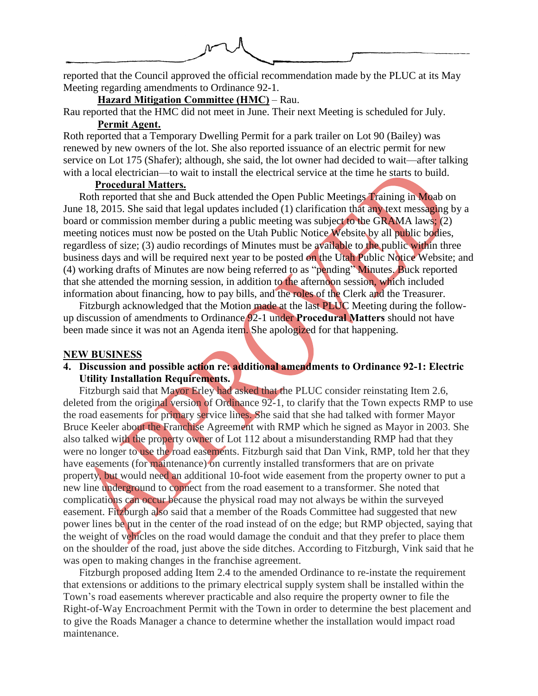reported that the Council approved the official recommendation made by the PLUC at its May Meeting regarding amendments to Ordinance 92-1.

#### **Hazard Mitigation Committee (HMC)** – Rau.

Rau reported that the HMC did not meet in June. Their next Meeting is scheduled for July. **Permit Agent.**

Roth reported that a Temporary Dwelling Permit for a park trailer on Lot 90 (Bailey) was renewed by new owners of the lot. She also reported issuance of an electric permit for new service on Lot 175 (Shafer); although, she said, the lot owner had decided to wait—after talking with a local electrician—to wait to install the electrical service at the time he starts to build.

#### **Procedural Matters.**

Roth reported that she and Buck attended the Open Public Meetings Training in Moab on June 18, 2015. She said that legal updates included (1) clarification that any text messaging by a board or commission member during a public meeting was subject to the GRAMA laws; (2) meeting notices must now be posted on the Utah Public Notice Website by all public bodies, regardless of size; (3) audio recordings of Minutes must be available to the public within three business days and will be required next year to be posted on the Utah Public Notice Website; and (4) working drafts of Minutes are now being referred to as "pending" Minutes. Buck reported that she attended the morning session, in addition to the afternoon session, which included information about financing, how to pay bills, and the roles of the Clerk and the Treasurer.

Fitzburgh acknowledged that the Motion made at the last PLUC Meeting during the followup discussion of amendments to Ordinance 92-1 under **Procedural Matters** should not have been made since it was not an Agenda item. She apologized for that happening.

#### **NEW BUSINESS**

**4. Discussion and possible action re: additional amendments to Ordinance 92-1: Electric Utility Installation Requirements.**

Fitzburgh said that Mayor Erley had asked that the PLUC consider reinstating Item 2.6, deleted from the original version of Ordinance 92-1, to clarify that the Town expects RMP to use the road easements for primary service lines. She said that she had talked with former Mayor Bruce Keeler about the Franchise Agreement with RMP which he signed as Mayor in 2003. She also talked with the property owner of Lot 112 about a misunderstanding RMP had that they were no longer to use the road easements. Fitzburgh said that Dan Vink, RMP, told her that they have easements (for maintenance) on currently installed transformers that are on private property, but would need an additional 10-foot wide easement from the property owner to put a new line underground to connect from the road easement to a transformer. She noted that complications can occur because the physical road may not always be within the surveyed easement. Fitzburgh also said that a member of the Roads Committee had suggested that new power lines be put in the center of the road instead of on the edge; but RMP objected, saying that the weight of vehicles on the road would damage the conduit and that they prefer to place them on the shoulder of the road, just above the side ditches. According to Fitzburgh, Vink said that he was open to making changes in the franchise agreement.

Fitzburgh proposed adding Item 2.4 to the amended Ordinance to re-instate the requirement that extensions or additions to the primary electrical supply system shall be installed within the Town's road easements wherever practicable and also require the property owner to file the Right-of-Way Encroachment Permit with the Town in order to determine the best placement and to give the Roads Manager a chance to determine whether the installation would impact road maintenance.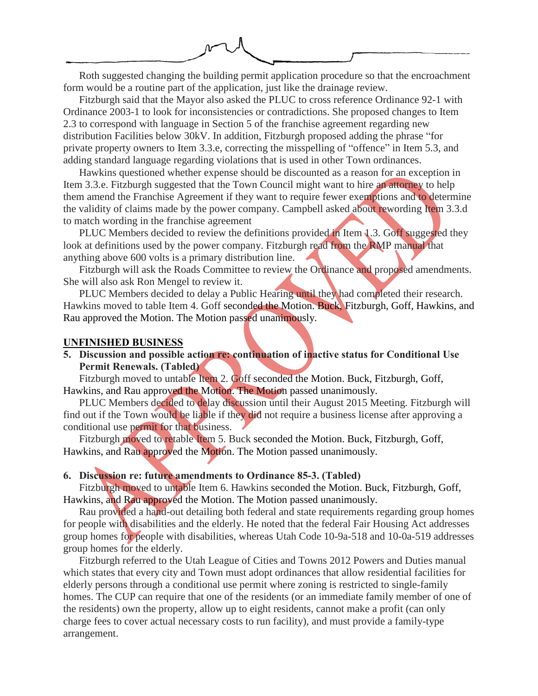Roth suggested changing the building permit application procedure so that the encroachment form would be a routine part of the application, just like the drainage review.

Fitzburgh said that the Mayor also asked the PLUC to cross reference Ordinance 92-1 with Ordinance 2003-1 to look for inconsistencies or contradictions. She proposed changes to Item 2.3 to correspond with language in Section 5 of the franchise agreement regarding new distribution Facilities below 30kV. In addition, Fitzburgh proposed adding the phrase "for private property owners to Item 3.3.e, correcting the misspelling of "offence" in Item 5.3, and adding standard language regarding violations that is used in other Town ordinances.

Hawkins questioned whether expense should be discounted as a reason for an exception in Item 3.3.e. Fitzburgh suggested that the Town Council might want to hire an attorney to help them amend the Franchise Agreement if they want to require fewer exemptions and to determine the validity of claims made by the power company. Campbell asked about rewording Item 3.3.d to match wording in the franchise agreement

PLUC Members decided to review the definitions provided in Item 1.3. Goff suggested they look at definitions used by the power company. Fitzburgh read from the RMP manual that anything above 600 volts is a primary distribution line.

Fitzburgh will ask the Roads Committee to review the Ordinance and proposed amendments. She will also ask Ron Mengel to review it.

PLUC Members decided to delay a Public Hearing until they had completed their research. Hawkins moved to table Item 4. Goff seconded the Motion. Buck, Fitzburgh, Goff, Hawkins, and Rau approved the Motion. The Motion passed unanimously.

#### **UNFINISHED BUSINESS**

**5. Discussion and possible action re: continuation of inactive status for Conditional Use Permit Renewals. (Tabled)**

Fitzburgh moved to untable Item 2. Goff seconded the Motion. Buck, Fitzburgh, Goff, Hawkins, and Rau approved the Motion. The Motion passed unanimously.

PLUC Members decided to delay discussion until their August 2015 Meeting. Fitzburgh will find out if the Town would be liable if they did not require a business license after approving a conditional use permit for that business.

Fitzburgh moved to retable Item 5. Buck seconded the Motion. Buck, Fitzburgh, Goff, Hawkins, and Rau approved the Motion. The Motion passed unanimously.

#### **6. Discussion re: future amendments to Ordinance 85-3. (Tabled)**

Fitzburgh moved to untable Item 6. Hawkins seconded the Motion. Buck, Fitzburgh, Goff, Hawkins, and Rau approved the Motion. The Motion passed unanimously.

Rau provided a hand-out detailing both federal and state requirements regarding group homes for people with disabilities and the elderly. He noted that the federal Fair Housing Act addresses group homes for people with disabilities, whereas Utah Code 10-9a-518 and 10-0a-519 addresses group homes for the elderly.

Fitzburgh referred to the Utah League of Cities and Towns 2012 Powers and Duties manual which states that every city and Town must adopt ordinances that allow residential facilities for elderly persons through a conditional use permit where zoning is restricted to single-family homes. The CUP can require that one of the residents (or an immediate family member of one of the residents) own the property, allow up to eight residents, cannot make a profit (can only charge fees to cover actual necessary costs to run facility), and must provide a family-type arrangement.